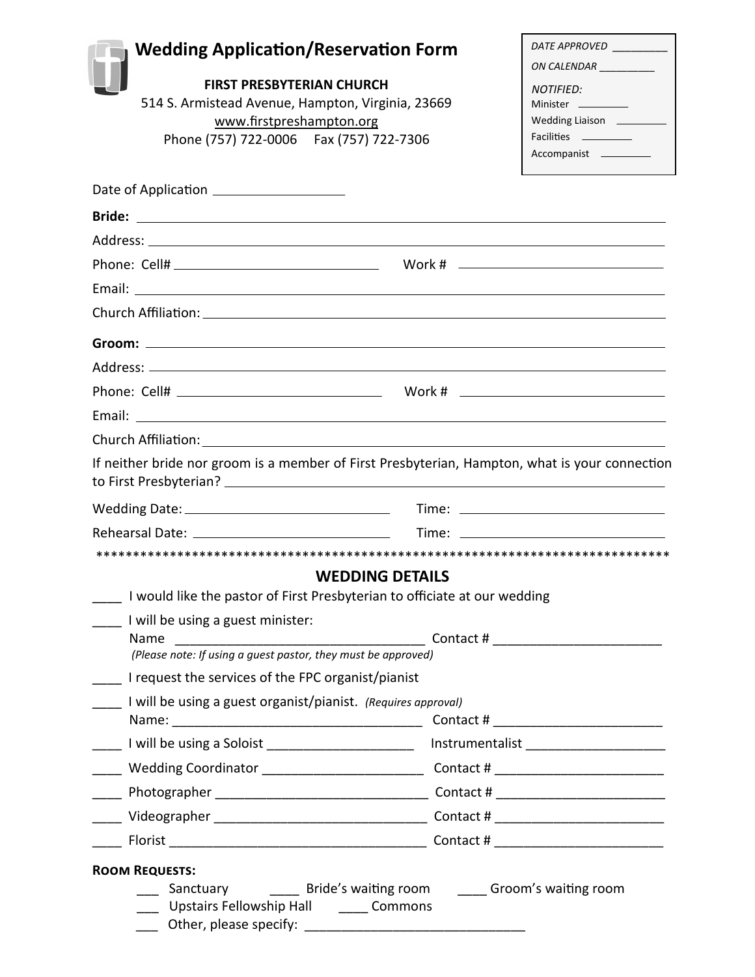| <b>Wedding Application/Reservation Form</b>                                                                                     |                        |                                         |
|---------------------------------------------------------------------------------------------------------------------------------|------------------------|-----------------------------------------|
|                                                                                                                                 |                        | DATE APPROVED _________                 |
| <b>FIRST PRESBYTERIAN CHURCH</b>                                                                                                |                        | ON CALENDAR _________                   |
| 514 S. Armistead Avenue, Hampton, Virginia, 23669                                                                               |                        | NOTIFIED:<br>Minister _________         |
| www.firstpreshampton.org                                                                                                        |                        | Wedding Liaison _________               |
| Phone (757) 722-0006  Fax (757) 722-7306                                                                                        |                        | Facilities ___________<br>Accompanist   |
|                                                                                                                                 |                        |                                         |
| Date of Application _____________________                                                                                       |                        |                                         |
|                                                                                                                                 |                        |                                         |
|                                                                                                                                 |                        |                                         |
|                                                                                                                                 |                        |                                         |
|                                                                                                                                 |                        |                                         |
|                                                                                                                                 |                        |                                         |
|                                                                                                                                 |                        |                                         |
|                                                                                                                                 |                        |                                         |
|                                                                                                                                 |                        |                                         |
|                                                                                                                                 |                        |                                         |
|                                                                                                                                 |                        |                                         |
|                                                                                                                                 |                        |                                         |
| If neither bride nor groom is a member of First Presbyterian, Hampton, what is your connection                                  |                        |                                         |
|                                                                                                                                 |                        |                                         |
|                                                                                                                                 |                        |                                         |
|                                                                                                                                 |                        |                                         |
|                                                                                                                                 | <b>WEDDING DETAILS</b> |                                         |
|                                                                                                                                 |                        |                                         |
| I will be using a guest minister:                                                                                               |                        |                                         |
| Name<br>(Please note: If using a guest pastor, they must be approved)                                                           |                        | Contact # ____________________________  |
| I would like the pastor of First Presbyterian to officiate at our wedding<br>I request the services of the FPC organist/pianist |                        |                                         |
| I will be using a guest organist/pianist. (Requires approval)                                                                   |                        |                                         |
| Rehearsal Date: _____________________________                                                                                   |                        | Contact # _____________________________ |
| Lacken Line and Line and Line and Line and Line and Line and Line and Line and Line and Line and Line and Line                  |                        |                                         |
| ____ Wedding Coordinator ___________________________ Contact # __________________                                               |                        |                                         |
|                                                                                                                                 |                        |                                         |
|                                                                                                                                 |                        |                                         |